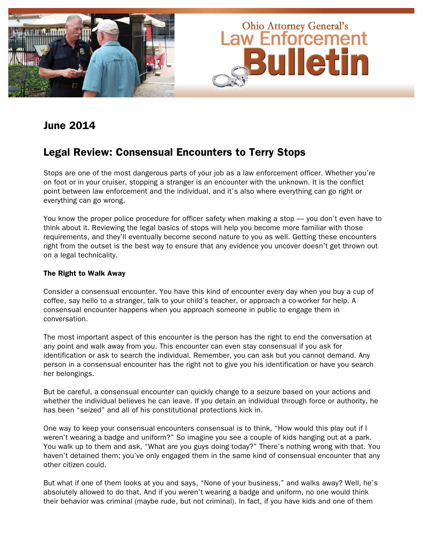

## June 2014

## Legal Review: Consensual Encounters to Terry Stops

Stops are one of the most dangerous parts of your job as a law enforcement officer. Whether you're on foot or in your cruiser, stopping a stranger is an encounter with the unknown. It is the conflict point between law enforcement and the individual, and it's also where everything can go right or everything can go wrong.

You know the proper police procedure for officer safety when making a stop — you don't even have to think about it. Reviewing the legal basics of stops will help you become more familiar with those requirements, and they'll eventually become second nature to you as well. Getting these encounters right from the outset is the best way to ensure that any evidence you uncover doesn't get thrown out on a legal technicality.

### The Right to Walk Away

Consider a consensual encounter. You have this kind of encounter every day when you buy a cup of coffee, say hello to a stranger, talk to your child's teacher, or approach a co-worker for help. A consensual encounter happens when you approach someone in public to engage them in conversation.

The most important aspect of this encounter is the person has the right to end the conversation at any point and walk away from you. This encounter can even stay consensual if you ask for identification or ask to search the individual. Remember, you can ask but you cannot demand. Any person in a consensual encounter has the right not to give you his identification or have you search her belongings.

But be careful, a consensual encounter can quickly change to a seizure based on your actions and whether the individual believes he can leave. If you detain an individual through force or authority, he has been "seized" and all of his constitutional protections kick in.

One way to keep your consensual encounters consensual is to think, "How would this play out if I weren't wearing a badge and uniform?" So imagine you see a couple of kids hanging out at a park. You walk up to them and ask, "What are you guys doing today?" There's nothing wrong with that. You haven't detained them; you've only engaged them in the same kind of consensual encounter that any other citizen could.

But what if one of them looks at you and says, "None of your business," and walks away? Well, he's absolutely allowed to do that. And if you weren't wearing a badge and uniform, no one would think their behavior was criminal (maybe rude, but not criminal). In fact, if you have kids and one of them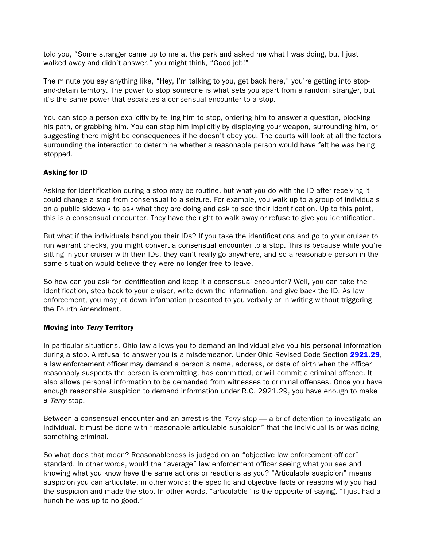told you, "Some stranger came up to me at the park and asked me what I was doing, but I just walked away and didn't answer," you might think, "Good job!"

The minute you say anything like, "Hey, I'm talking to you, get back here," you're getting into stopand-detain territory. The power to stop someone is what sets you apart from a random stranger, but it's the same power that escalates a consensual encounter to a stop.

You can stop a person explicitly by telling him to stop, ordering him to answer a question, blocking his path, or grabbing him. You can stop him implicitly by displaying your weapon, surrounding him, or suggesting there might be consequences if he doesn't obey you. The courts will look at all the factors surrounding the interaction to determine whether a reasonable person would have felt he was being stopped.

### Asking for ID

Asking for identification during a stop may be routine, but what you do with the ID after receiving it could change a stop from consensual to a seizure. For example, you walk up to a group of individuals on a public sidewalk to ask what they are doing and ask to see their identification. Up to this point, this is a consensual encounter. They have the right to walk away or refuse to give you identification.

But what if the individuals hand you their IDs? If you take the identifications and go to your cruiser to run warrant checks, you might convert a consensual encounter to a stop. This is because while you're sitting in your cruiser with their IDs, they can't really go anywhere, and so a reasonable person in the same situation would believe they were no longer free to leave.

So how can you ask for identification and keep it a consensual encounter? Well, you can take the identification, step back to your cruiser, write down the information, and give back the ID. As law enforcement, you may jot down information presented to you verbally or in writing without triggering the Fourth Amendment.

### Moving into Terry Territory

In particular situations, Ohio law allows you to demand an individual give you his personal information during a stop. A refusal to answer you is a misdemeanor. Under Ohio Revised Code Section [2921.29](http://codes.ohio.gov/orc/2921.29), a law enforcement officer may demand a person's name, address, or date of birth when the officer reasonably suspects the person is committing, has committed, or will commit a criminal offence. It also allows personal information to be demanded from witnesses to criminal offenses. Once you have enough reasonable suspicion to demand information under R.C. 2921.29, you have enough to make a Terry stop.

Between a consensual encounter and an arrest is the *Terry* stop — a brief detention to investigate an individual. It must be done with "reasonable articulable suspicion" that the individual is or was doing something criminal.

So what does that mean? Reasonableness is judged on an "objective law enforcement officer" standard. In other words, would the "average" law enforcement officer seeing what you see and knowing what you know have the same actions or reactions as you? "Articulable suspicion" means suspicion you can articulate, in other words: the specific and objective facts or reasons why you had the suspicion and made the stop. In other words, "articulable" is the opposite of saying, "I just had a hunch he was up to no good."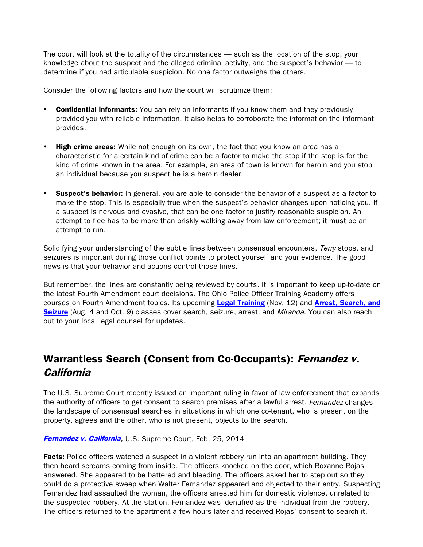The court will look at the totality of the circumstances — such as the location of the stop, your knowledge about the suspect and the alleged criminal activity, and the suspect's behavior — to determine if you had articulable suspicion. No one factor outweighs the others.

Consider the following factors and how the court will scrutinize them:

- Confidential informants: You can rely on informants if you know them and they previously provided you with reliable information. It also helps to corroborate the information the informant provides.
- High crime areas: While not enough on its own, the fact that you know an area has a characteristic for a certain kind of crime can be a factor to make the stop if the stop is for the kind of crime known in the area. For example, an area of town is known for heroin and you stop an individual because you suspect he is a heroin dealer.
- **Suspect's behavior:** In general, you are able to consider the behavior of a suspect as a factor to make the stop. This is especially true when the suspect's behavior changes upon noticing you. If a suspect is nervous and evasive, that can be one factor to justify reasonable suspicion. An attempt to flee has to be more than briskly walking away from law enforcement; it must be an attempt to run.

Solidifving your understanding of the subtle lines between consensual encounters, Terry stops, and seizures is important during those conflict points to protect yourself and your evidence. The good news is that your behavior and actions control those lines.

But remember, the lines are constantly being reviewed by courts. It is important to keep up-to-date on the latest Fourth Amendment court decisions. The Ohio Police Officer Training Academy offers courses on Fourth Amendment topics. Its upcoming [Legal Training](http://www.ohioattorneygeneral.gov/Law-Enforcement/Ohio-Peace-Officer-Training-Academy/Course-Catalog/Course-Search.aspx?searchtext=regional+legal+update&searchmode=exactphrase) (Nov. 12) and [Arrest, Search,](http://www.ohioattorneygeneral.gov/Law-Enforcement/Ohio-Peace-Officer-Training-Academy/Course-Catalog/Course-Search.aspx?searchtext=Arrest%2c+Search+and+Seizure&searchmode=exactphrase) and [Seizure](http://www.ohioattorneygeneral.gov/Law-Enforcement/Ohio-Peace-Officer-Training-Academy/Course-Catalog/Course-Search.aspx?searchtext=Arrest%2c+Search+and+Seizure&searchmode=exactphrase) (Aug. 4 and Oct. 9) classes cover search, seizure, arrest, and *Miranda*. You can also reach out to your local legal counsel for updates.

# Warrantless Search (Consent from Co-Occupants): Fernandez v. **California**

The U.S. Supreme Court recently issued an important ruling in favor of law enforcement that expands the authority of officers to get consent to search premises after a lawful arrest. Fernandez changes the landscape of consensual searches in situations in which one co-tenant, who is present on the property, agrees and the other, who is not present, objects to the search.

**[Fernandez v. California](http://www.supremecourt.gov/opinions/13pdf/12-7822_he4l.pdf), U.S. Supreme Court, Feb. 25, 2014** 

**Facts:** Police officers watched a suspect in a violent robbery run into an apartment building. They then heard screams coming from inside. The officers knocked on the door, which Roxanne Rojas answered. She appeared to be battered and bleeding. The officers asked her to step out so they could do a protective sweep when Walter Fernandez appeared and objected to their entry. Suspecting Fernandez had assaulted the woman, the officers arrested him for domestic violence, unrelated to the suspected robbery. At the station, Fernandez was identified as the individual from the robbery. The officers returned to the apartment a few hours later and received Rojas' consent to search it.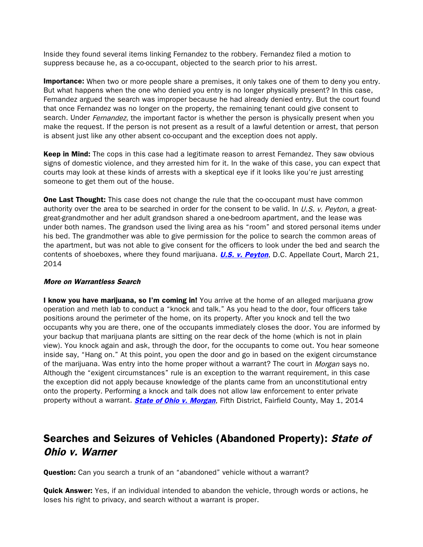Inside they found several items linking Fernandez to the robbery. Fernandez filed a motion to suppress because he, as a co-occupant, objected to the search prior to his arrest.

**Importance:** When two or more people share a premises, it only takes one of them to deny you entry. But what happens when the one who denied you entry is no longer physically present? In this case, Fernandez argued the search was improper because he had already denied entry. But the court found that once Fernandez was no longer on the property, the remaining tenant could give consent to search. Under Fernandez, the important factor is whether the person is physically present when you make the request. If the person is not present as a result of a lawful detention or arrest, that person is absent just like any other absent co-occupant and the exception does not apply.

**Keep in Mind:** The cops in this case had a legitimate reason to arrest Fernandez. They saw obvious signs of domestic violence, and they arrested him for it. In the wake of this case, you can expect that courts may look at these kinds of arrests with a skeptical eye if it looks like you're just arresting someone to get them out of the house.

**One Last Thought:** This case does not change the rule that the co-occupant must have common authority over the area to be searched in order for the consent to be valid. In  $U.S.$  v. Peyton, a greatgreat-grandmother and her adult grandson shared a one-bedroom apartment, and the lease was under both names. The grandson used the living area as his "room" and stored personal items under his bed. The grandmother was able to give permission for the police to search the common areas of the apartment, but was not able to give consent for the officers to look under the bed and search the contents of shoeboxes, where they found marijuana. **[U.S. v. Peyton](http://www.federalcriminalappealsblog.com/United States v. Peyton, D.C. Circuit.pdf)**, D.C. Appellate Court, March 21, 2014

#### More on Warrantless Search

I know you have marijuana, so I'm coming in! You arrive at the home of an alleged marijuana grow operation and meth lab to conduct a "knock and talk." As you head to the door, four officers take positions around the perimeter of the home, on its property. After you knock and tell the two occupants why you are there, one of the occupants immediately closes the door. You are informed by your backup that marijuana plants are sitting on the rear deck of the home (which is not in plain view). You knock again and ask, through the door, for the occupants to come out. You hear someone inside say, "Hang on." At this point, you open the door and go in based on the exigent circumstance of the marijuana. Was entry into the home proper without a warrant? The court in Morgan says no. Although the "exigent circumstances" rule is an exception to the warrant requirement, in this case the exception did not apply because knowledge of the plants came from an unconstitutional entry onto the property. Performing a knock and talk does not allow law enforcement to enter private property without a warrant. **[State of Ohio v. Morgan](http://www.sconet.state.oh.us/rod/docs/pdf/5/2014/2014-ohio-1900.pdf)**, Fifth District, Fairfield County, May 1, 2014

# Searches and Seizures of Vehicles (Abandoned Property): State of Ohio v. Warner

Question: Can you search a trunk of an "abandoned" vehicle without a warrant?

**Quick Answer:** Yes, if an individual intended to abandon the vehicle, through words or actions, he loses his right to privacy, and search without a warrant is proper.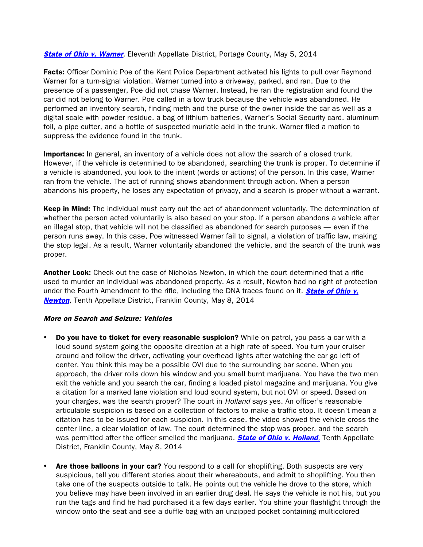**[State of Ohio v. Warner](http://www.sconet.state.oh.us/rod/docs/pdf/11/2014/2014-ohio-1874.pdf),** Eleventh Appellate District, Portage County, May 5, 2014

Facts: Officer Dominic Poe of the Kent Police Department activated his lights to pull over Raymond Warner for a turn-signal violation. Warner turned into a driveway, parked, and ran. Due to the presence of a passenger, Poe did not chase Warner. Instead, he ran the registration and found the car did not belong to Warner. Poe called in a tow truck because the vehicle was abandoned. He performed an inventory search, finding meth and the purse of the owner inside the car as well as a digital scale with powder residue, a bag of lithium batteries, Warner's Social Security card, aluminum foil, a pipe cutter, and a bottle of suspected muriatic acid in the trunk. Warner filed a motion to suppress the evidence found in the trunk.

**Importance:** In general, an inventory of a vehicle does not allow the search of a closed trunk. However, if the vehicle is determined to be abandoned, searching the trunk is proper. To determine if a vehicle is abandoned, you look to the intent (words or actions) of the person. In this case, Warner ran from the vehicle. The act of running shows abandonment through action. When a person abandons his property, he loses any expectation of privacy, and a search is proper without a warrant.

Keep in Mind: The individual must carry out the act of abandonment voluntarily. The determination of whether the person acted voluntarily is also based on your stop. If a person abandons a vehicle after an illegal stop, that vehicle will not be classified as abandoned for search purposes — even if the person runs away. In this case, Poe witnessed Warner fail to signal, a violation of traffic law, making the stop legal. As a result, Warner voluntarily abandoned the vehicle, and the search of the trunk was proper.

Another Look: Check out the case of Nicholas Newton, in which the court determined that a rifle used to murder an individual was abandoned property. As a result, Newton had no right of protection under the Fourth Amendment to the rifle, including the DNA traces found on it. **State of Ohio v.** [Newton](http://www.sconet.state.oh.us/rod/docs/pdf/10/2014/2014-ohio-1958.pdf), Tenth Appellate District, Franklin County, May 8, 2014

#### More on Search and Seizure: Vehicles

- **Do you have to ticket for every reasonable suspicion?** While on patrol, you pass a car with a loud sound system going the opposite direction at a high rate of speed. You turn your cruiser around and follow the driver, activating your overhead lights after watching the car go left of center. You think this may be a possible OVI due to the surrounding bar scene. When you approach, the driver rolls down his window and you smell burnt marijuana. You have the two men exit the vehicle and you search the car, finding a loaded pistol magazine and marijuana. You give a citation for a marked lane violation and loud sound system, but not OVI or speed. Based on your charges, was the search proper? The court in *Holland* says yes. An officer's reasonable articulable suspicion is based on a collection of factors to make a traffic stop. It doesn't mean a citation has to be issued for each suspicion. In this case, the video showed the vehicle cross the center line, a clear violation of law. The court determined the stop was proper, and the search was permitted after the officer smelled the marijuana. **[State of Ohio v. Holland](http://www.sconet.state.oh.us/rod/docs/pdf/10/2014/2014-ohio-1964.pdf)**, Tenth Appellate District, Franklin County, May 8, 2014
- Are those balloons in your car? You respond to a call for shoplifting. Both suspects are very suspicious, tell you different stories about their whereabouts, and admit to shoplifting. You then take one of the suspects outside to talk. He points out the vehicle he drove to the store, which you believe may have been involved in an earlier drug deal. He says the vehicle is not his, but you run the tags and find he had purchased it a few days earlier. You shine your flashlight through the window onto the seat and see a duffle bag with an unzipped pocket containing multicolored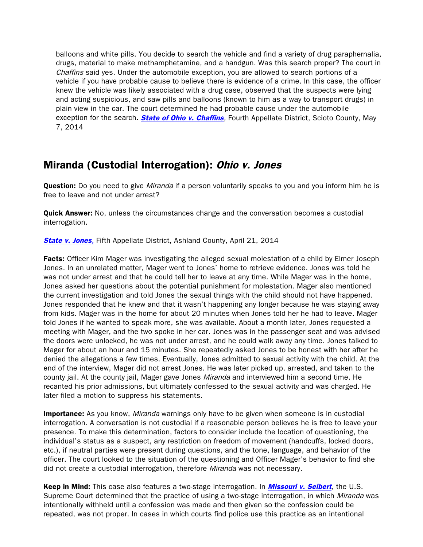balloons and white pills. You decide to search the vehicle and find a variety of drug paraphernalia, drugs, material to make methamphetamine, and a handgun. Was this search proper? The court in Chaffins said yes. Under the automobile exception, you are allowed to search portions of a vehicle if you have probable cause to believe there is evidence of a crime. In this case, the officer knew the vehicle was likely associated with a drug case, observed that the suspects were lying and acting suspicious, and saw pills and balloons (known to him as a way to transport drugs) in plain view in the car. The court determined he had probable cause under the automobile exception for the search. **[State of Ohio v. Chaffins](http://www.sconet.state.oh.us/rod/docs/pdf/4/2014/2014-ohio-1969.pdf)**, Fourth Appellate District, Scioto County, May 7, 2014

## Miranda (Custodial Interrogation): Ohio v. Jones

**Question:** Do you need to give *Miranda* if a person voluntarily speaks to you and you inform him he is free to leave and not under arrest?

**Quick Answer:** No, unless the circumstances change and the conversation becomes a custodial interrogation.

**[State v. Jones](http://www.sconet.state.oh.us/rod/docs/pdf/5/2014/2014-ohio-1716.pdf), Fifth Appellate District, Ashland County, April 21, 2014** 

Facts: Officer Kim Mager was investigating the alleged sexual molestation of a child by Elmer Joseph Jones. In an unrelated matter, Mager went to Jones' home to retrieve evidence. Jones was told he was not under arrest and that he could tell her to leave at any time. While Mager was in the home, Jones asked her questions about the potential punishment for molestation. Mager also mentioned the current investigation and told Jones the sexual things with the child should not have happened. Jones responded that he knew and that it wasn't happening any longer because he was staying away from kids. Mager was in the home for about 20 minutes when Jones told her he had to leave. Mager told Jones if he wanted to speak more, she was available. About a month later, Jones requested a meeting with Mager, and the two spoke in her car. Jones was in the passenger seat and was advised the doors were unlocked, he was not under arrest, and he could walk away any time. Jones talked to Mager for about an hour and 15 minutes. She repeatedly asked Jones to be honest with her after he denied the allegations a few times. Eventually, Jones admitted to sexual activity with the child. At the end of the interview, Mager did not arrest Jones. He was later picked up, arrested, and taken to the county jail. At the county jail, Mager gave Jones *Miranda* and interviewed him a second time. He recanted his prior admissions, but ultimately confessed to the sexual activity and was charged. He later filed a motion to suppress his statements.

**Importance:** As you know, *Miranda* warnings only have to be given when someone is in custodial interrogation. A conversation is not custodial if a reasonable person believes he is free to leave your presence. To make this determination, factors to consider include the location of questioning, the individual's status as a suspect, any restriction on freedom of movement (handcuffs, locked doors, etc.), if neutral parties were present during questions, and the tone, language, and behavior of the officer. The court looked to the situation of the questioning and Officer Mager's behavior to find she did not create a custodial interrogation, therefore Miranda was not necessary.

Keep in Mind: This case also features a two-stage interrogation. In *[Missouri v. Seibert](http://caselaw.lp.findlaw.com/scripts/getcase.pl?court=US&vol=000&invol=02-1371)*, the U.S. Supreme Court determined that the practice of using a two-stage interrogation, in which Miranda was intentionally withheld until a confession was made and then given so the confession could be repeated, was not proper. In cases in which courts find police use this practice as an intentional